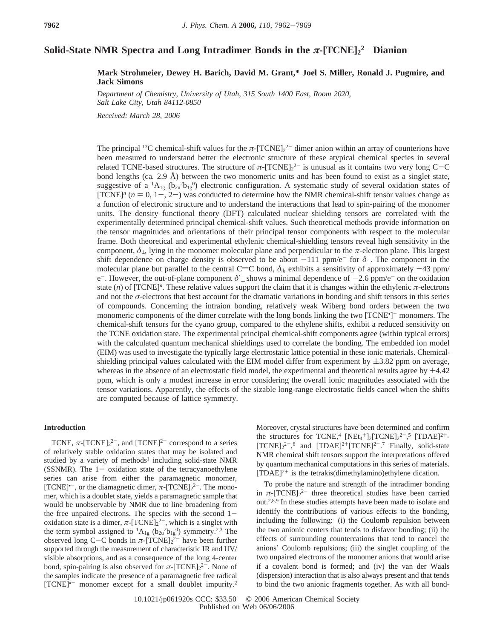# **Solid-State NMR Spectra and Long Intradimer Bonds in the**  $\pi$ **-[TCNE]<sub>2</sub><sup>2-</sup> Dianion**

## **Mark Strohmeier, Dewey H. Barich, David M. Grant,\* Joel S. Miller, Ronald J. Pugmire, and Jack Simons**

*Department of Chemistry, Uni*V*ersity of Utah, 315 South 1400 East, Room 2020, Salt Lake City, Utah 84112-0850*

*Recei*V*ed: March 28, 2006*

The principal <sup>13</sup>C chemical-shift values for the  $\pi$ -[TCNE]<sub>2</sub><sup>2-</sup> dimer anion within an array of counterions have been measured to understand better the electronic structure of these atypical chemical species in several related TCNE-based structures. The structure of  $\pi$ -[TCNE]<sub>2</sub><sup>2-</sup> is unusual as it contains two very long C-C<br>bond lengths (ca. 2.9, Å) between the two monomeric units and has been found to exist as a singlet state bond lengths (ca*.* 2.9 Å) between the two monomeric units and has been found to exist as a singlet state, suggestive of a  ${}^{1}A_{1g}$  ( $b_{2u}{}^{2}b_{1g}{}^{0}$ ) electronic configuration. A systematic study of several oxidation states of [TCNE]<sup>n</sup> ( $n = 0, 1-, 2-$ ) was conducted to determine how the NMR chemical-shift tensor values change as a function of electronic structure and to understand the interactions that lead to spin-pairing of the monomer units. The density functional theory (DFT) calculated nuclear shielding tensors are correlated with the experimentally determined principal chemical-shift values. Such theoretical methods provide information on the tensor magnitudes and orientations of their principal tensor components with respect to the molecular frame. Both theoretical and experimental ethylenic chemical-shielding tensors reveal high sensitivity in the component, *δ*⊥, lying in the monomer molecular plane and perpendicular to the *π*-electron plane. This largest shift dependence on charge density is observed to be about  $-111$  ppm/e<sup>-</sup> for  $\delta_{\perp}$ . The component in the molecular plane but parallel to the central C=C bond,  $\delta_{\parallel}$ , exhibits a sensitivity of approximately -43 ppm/ <sup>e</sup>-. However, the out-of-plane component *<sup>δ</sup>*′⊥ shows a minimal dependence of -2.6 ppm/e- on the oxidation state (*n*) of [TCNE]<sup>*n*</sup>. These relative values support the claim that it is changes within the ethylenic  $\pi$ -electrons and not the *σ*-electrons that best account for the dramatic variations in bonding and shift tensors in this series of compounds. Concerning the intraion bonding, relatively weak Wiberg bond orders between the two monomeric components of the dimer correlate with the long bonds linking the two [TCNE<sup>•</sup>]<sup>-</sup> monomers. The chemical-shift tensors for the cyano group, compared to the ethylene shifts, exhibit a reduced sensitivity on the TCNE oxidation state. The experimental principal chemical-shift components agree (within typical errors) with the calculated quantum mechanical shieldings used to correlate the bonding. The embedded ion model (EIM) was used to investigate the typically large electrostatic lattice potential in these ionic materials. Chemicalshielding principal values calculated with the EIM model differ from experiment by  $\pm$ 3.82 ppm on average, whereas in the absence of an electrostatic field model, the experimental and theoretical results agree by  $\pm$ 4.42 ppm, which is only a modest increase in error considering the overall ionic magnitudes associated with the tensor variations. Apparently, the effects of the sizable long-range electrostatic fields cancel when the shifts are computed because of lattice symmetry.

#### **Introduction**

TCNE,  $\pi$ -[TCNE] $2^{-}$ , and [TCNE]<sup>2-</sup> correspond to a series of relatively stable oxidation states that may be isolated and studied by a variety of methods<sup>1</sup> including solid-state NMR (SSNMR). The  $1-$  oxidation state of the tetracyanoethylene series can arise from either the paramagnetic monomer,  $[TCNE]$ <sup>+-</sup>, or the diamagnetic dimer,  $\pi$ - $[TCNE]_2^2$ <sup>-</sup>. The monomer, which is a doublet state, yields a paramagnetic sample that would be unobservable by NMR due to line broadening from the free unpaired electrons. The species with the second  $1$ oxidation state is a dimer,  $\pi$ -[TCNE]<sub>2</sub><sup>2-</sup>, which is a singlet with the term symbol assigned to  ${}^{1}A_{1g}$  ( $b_{2u}{}^{2}b_{1g}{}^{0}$ ) symmetry.<sup>2,3</sup> The observed long C-C bonds in  $\pi$ -[TCNE]<sub>2</sub><sup>2-</sup> have been further supported through the measurement of characteristic IR and UV/ supported through the measurement of characteristic IR and UV/ visible absorptions, and as a consequence of the long 4-center bond, spin-pairing is also observed for  $\pi$ -[TCNE]<sub>2</sub><sup>2-</sup>. None of the samples indicate the presence of a paramagnetic free radical [TCNE]<sup>•-</sup> monomer except for a small doublet impurity.<sup>2</sup>

Moreover, crystal structures have been determined and confirm the structures for TCNE,<sup>4</sup> [NEt<sub>4</sub><sup>+</sup>]<sub>2</sub>[TCNE]<sub>2</sub><sup>2-</sup>,<sup>5</sup> [TDAE]<sup>2+</sup>- $[TCNE]_2^{2-6}$  and  $[TDAE]^{2+}[TCNE]_2^{2-7}$  Finally, solid-state NMR chemical shift tensors support the interpretations offered by quantum mechanical computations in this series of materials.  $[TDAE]^{2+}$  is the tetrakis(dimethylamino)ethylene dication.

To probe the nature and strength of the intradimer bonding in  $\pi$ -[TCNE]<sub>2</sub><sup>2-</sup> three theoretical studies have been carried out.2,8,9 In these studies attempts have been made to isolate and identify the contributions of various effects to the bonding, including the following: (i) the Coulomb repulsion between the two anionic centers that tends to disfavor bonding; (ii) the effects of surrounding countercations that tend to cancel the anions' Coulomb repulsions; (iii) the singlet coupling of the two unpaired electrons of the monomer anions that would arise if a covalent bond is formed; and (iv) the van der Waals (dispersion) interaction that is also always present and that tends to bind the two anionic fragments together. As with all bond-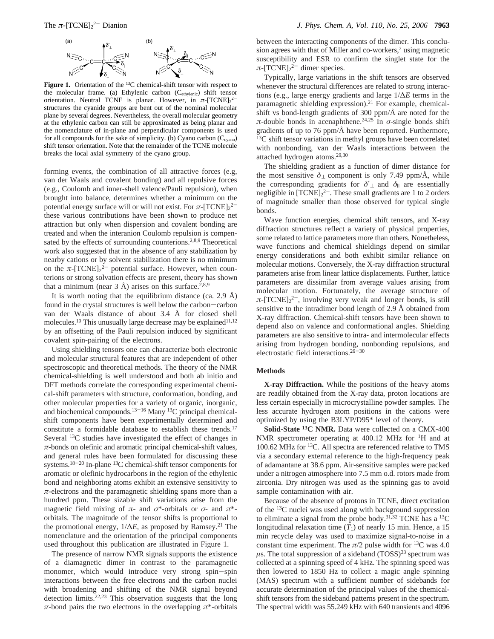

Figure 1. Orientation of the <sup>13</sup>C chemical-shift tensor with respect to the molecular frame. (a) Ethylenic carbon (Cethylenic) shift tensor orientation. Neutral TCNE is planar. However, in  $\pi$ -[TCNE]<sub>2</sub><sup>2-</sup> structures the cyanide groups are bent out of the nominal molecular plane by several degrees. Nevertheless, the overall molecular geometry at the ethylenic carbon can still be approximated as being planar and the nomenclature of in-plane and perpendicular components is used for all compounds for the sake of simplicity. (b) Cyano carbon  $(C_{\text{cyano}})$ shift tensor orientation. Note that the remainder of the TCNE molecule breaks the local axial symmetry of the cyano group.

forming events, the combination of all attractive forces (e.g, van der Waals and covalent bonding) and all repulsive forces (e.g., Coulomb and inner-shell valence/Pauli repulsion), when brought into balance, determines whether a minimum on the potential energy surface will or will not exist. For  $\pi$ -[TCNE] $_2$ <sup>2-</sup> these various contributions have been shown to produce net attraction but only when dispersion and covalent bonding are treated and when the interanion Coulomb repulsion is compensated by the effects of surrounding counterions.<sup>2,8,9</sup> Theoretical work also suggested that in the absence of any stabilization by nearby cations or by solvent stabilization there is no minimum on the  $\pi$ -[TCNE]<sub>2</sub><sup>2-</sup> potential surface. However, when counterions or strong solvation effects are present, theory has shown that a minimum (near  $3 \text{ Å}$ ) arises on this surface.<sup>2,8,9</sup>

It is worth noting that the equilibrium distance (ca. 2.9  $\AA$ ) found in the crystal structures is well below the carbon-carbon van der Waals distance of about 3.4 Å for closed shell molecules.<sup>10</sup> This unusually large decrease may be explained<sup>11,12</sup> by an offsetting of the Pauli repulsion induced by significant covalent spin-pairing of the electrons.

Using shielding tensors one can characterize both electronic and molecular structural features that are independent of other spectroscopic and theoretical methods. The theory of the NMR chemical-shielding is well understood and both ab initio and DFT methods correlate the corresponding experimental chemical-shift parameters with structure, conformation, bonding, and other molecular properties for a variety of organic, inorganic, and biochemical compounds.<sup>13-16</sup> Many <sup>13</sup>C principal chemicalshift components have been experimentally determined and constitute a formidable database to establish these trends.17 Several <sup>13</sup>C studies have investigated the effect of changes in *π*-bonds on olefinic and aromatic principal chemical-shift values, and general rules have been formulated for discussing these systems.<sup>18-20</sup> In-plane <sup>13</sup>C chemical-shift tensor components for aromatic or olefinic hydrocarbons in the region of the ethylenic bond and neighboring atoms exhibit an extensive sensitivity to *π*-electrons and the paramagnetic shielding spans more than a hundred ppm. These sizable shift variations arise from the magnetic field mixing of  $\pi$ - and  $\sigma^*$ -orbitals or  $\sigma$ - and  $\pi^*$ orbitals. The magnitude of the tensor shifts is proportional to the promotional energy, 1/∆*E*, as proposed by Ramsey.21 The nomenclature and the orientation of the principal components used throughout this publication are illustrated in Figure 1.

The presence of narrow NMR signals supports the existence of a diamagnetic dimer in contrast to the paramagnetic monomer, which would introduce very strong spin-spin interactions between the free electrons and the carbon nuclei with broadening and shifting of the NMR signal beyond detection limits.<sup>22,23</sup> This observation suggests that the long *π*-bond pairs the two electrons in the overlapping  $\pi^*$ -orbitals between the interacting components of the dimer. This conclusion agrees with that of Miller and co-workers,<sup>2</sup> using magnetic susceptibility and ESR to confirm the singlet state for the  $\pi$ -[TCNE]<sub>2</sub><sup>2-</sup> dimer species.

Typically, large variations in the shift tensors are observed whenever the structural differences are related to strong interactions (e.g., large energy gradients and large 1/∆*E* terms in the paramagnetic shielding expression).<sup>21</sup> For example, chemicalshift vs bond-length gradients of 300 ppm/Å are noted for the  $\pi$ -double bonds in acenaphthene.<sup>24,25</sup> In  $\sigma$ -single bonds shift gradients of up to 76 ppm/Å have been reported. Furthermore, <sup>13</sup>C shift tensor variations in methyl groups have been correlated with nonbonding, van der Waals interactions between the attached hydrogen atoms.29,30

The shielding gradient as a function of dimer distance for the most sensitive  $\delta_{\perp}$  component is only 7.49 ppm/Å, while the corresponding gradients for  $\delta'$ <sub>⊥</sub> and  $\delta_{\parallel}$  are essentially negligible in  $[TCNE]_2^2$ . These small gradients are 1 to 2 orders of magnitude smaller than those observed for typical single bonds.

Wave function energies, chemical shift tensors, and X-ray diffraction structures reflect a variety of physical properties, some related to lattice parameters more than others. Nonetheless, wave functions and chemical shieldings depend on similar energy considerations and both exhibit similar reliance on molecular motions. Conversely, the X-ray diffraction structural parameters arise from linear lattice displacements. Further, lattice parameters are dissimilar from average values arising from molecular motion. Fortunately, the average structure of  $\pi$ -[TCNE]<sub>2</sub><sup>2-</sup>, involving very weak and longer bonds, is still sensitive to the intradimer bond length of 2.9 Å obtained from X-ray diffraction. Chemical-shift tensors have been shown to depend also on valence and conformational angles. Shielding parameters are also sensitive to intra- and intermolecular effects arising from hydrogen bonding, nonbonding repulsions, and electrostatic field interactions.26-<sup>30</sup>

#### **Methods**

**X-ray Diffraction.** While the positions of the heavy atoms are readily obtained from the X-ray data, proton locations are less certain especially in microcrystalline powder samples. The less accurate hydrogen atom positions in the cations were optimized by using the B3LYP/D95\* level of theory.

**Solid-State 13C NMR.** Data were collected on a CMX-400 NMR spectrometer operating at 400.12 MHz for <sup>1</sup>H and at 100.62 MHz for 13C. All spectra are referenced relative to TMS via a secondary external reference to the high-frequency peak of adamantane at 38.6 ppm. Air-sensitive samples were packed under a nitrogen atmosphere into 7.5 mm o.d. rotors made from zirconia. Dry nitrogen was used as the spinning gas to avoid sample contamination with air.

Because of the absence of protons in TCNE, direct excitation of the 13C nuclei was used along with background suppression to eliminate a signal from the probe body.<sup>31,32</sup> TCNE has a <sup>13</sup>C longitudinal relaxation time  $(T_1)$  of nearly 15 min. Hence, a 15 min recycle delay was used to maximize signal-to-noise in a constant time experiment. The  $\pi/2$  pulse width for <sup>13</sup>C was 4.0  $\mu$ s. The total suppression of a sideband (TOSS)<sup>33</sup> spectrum was collected at a spinning speed of 4 kHz. The spinning speed was then lowered to 1850 Hz to collect a magic angle spinning (MAS) spectrum with a sufficient number of sidebands for accurate determination of the principal values of the chemicalshift tensors from the sideband patterns present in the spectrum. The spectral width was 55.249 kHz with 640 transients and 4096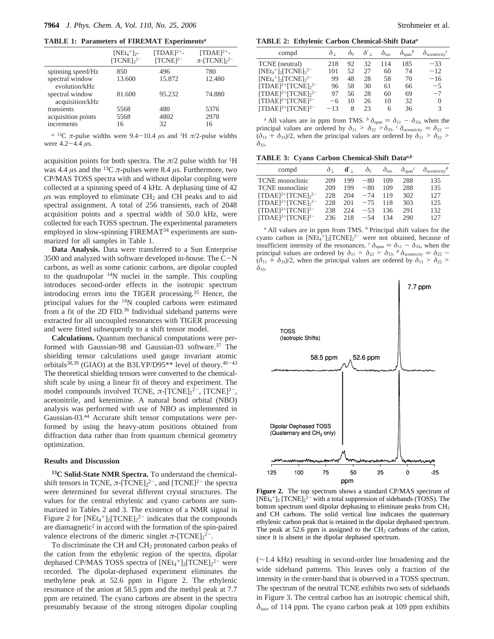**TABLE 1: Parameters of FIREMAT Experiments***<sup>a</sup>*

|                                    | $[NEt_4^+]_{2^-}$<br>[TCNE] <sub>2</sub> | $[TDAE]^{2+}$<br>$[TCNE]^{2-}$ | $[TDAE]^{2+}$<br>$\pi$ -[TCNE] <sub>2</sub> <sup>2-</sup> |
|------------------------------------|------------------------------------------|--------------------------------|-----------------------------------------------------------|
| spinning speed/Hz                  | 850                                      | 496                            | 780                                                       |
| spectral window<br>evolution/kHz   | 13.600                                   | 15.872                         | 12.480                                                    |
| spectral window<br>acquisition/kHz | 81.600                                   | 95.232                         | 74.880                                                    |
| transients                         | 5568                                     | 480                            | 5376                                                      |
| acquisition points                 | 5568                                     | 4802                           | 2978                                                      |
| increments                         | 16                                       | 32                             | 16                                                        |

 $a$  <sup>13</sup>C *π*-pulse widths were 9.4–10.4 *μ*s and <sup>1</sup>H *π*/2-pulse widths re 4.2–4.4 *μs* were 4.2-4.4 *<sup>µ</sup>*s.

acquisition points for both spectra. The  $\pi/2$  pulse width for <sup>1</sup>H was 4.4  $\mu$ s and the <sup>13</sup>C  $\pi$ -pulses were 8.4  $\mu$ s. Furthermore, two CP/MAS TOSS spectra with and without dipolar coupling were collected at a spinning speed of 4 kHz. A dephasing time of 42  $\mu$ s was employed to eliminate CH<sub>2</sub> and CH peaks and to aid spectral assignment. A total of 256 transients, each of 2048 acquisition points and a spectral width of 50.0 kHz, were collected for each TOSS spectrum. The experimental parameters employed in slow-spinning FIREMAT<sup>34</sup> experiments are summarized for all samples in Table 1.

**Data Analysis.** Data were transferred to a Sun Enterprise 3500 and analyzed with software developed in-house. The C-<sup>N</sup> carbons, as well as some cationic carbons, are dipolar coupled to the quadrupolar  $14N$  nuclei in the sample. This coupling introduces second-order effects in the isotropic spectrum introducing errors into the TIGER processing.35 Hence, the principal values for the 14N coupled carbons were estimated from a fit of the 2D FID.<sup>36</sup> Individual sideband patterns were extracted for all uncoupled resonances with TIGER processing and were fitted subsequently to a shift tensor model.

**Calculations.** Quantum mechanical computations were performed with Gaussian-98 and Gaussian-03 software.<sup>37</sup> The shielding tensor calculations used gauge invariant atomic orbitals<sup>38,39</sup> (GIAO) at the B3LYP/D95<sup>\*\*</sup> level of theory.<sup>40-43</sup> The theoretical shielding tensors were converted to the chemicalshift scale by using a linear fit of theory and experiment. The model compounds involved TCNE,  $\pi$ -[TCNE] $2^-$ , [TCNE] $2^-$ , acetonitrile, and ketenimine. A natural bond orbital (NBO) analysis was performed with use of NBO as implemented in Gaussian-03.44 Accurate shift tensor computations were performed by using the heavy-atom positions obtained from diffraction data rather than from quantum chemical geometry optimization.

#### **Results and Discussion**

**13C Solid-State NMR Spectra.** To understand the chemicalshift tensors in TCNE,  $\pi$ -[TCNE]<sup>2-</sup>, and [TCNE]<sup>2-</sup> the spectra were determined for several different crystal structures. The values for the central ethylenic and cyano carbons are summarized in Tables 2 and 3. The existence of a NMR signal in Figure 2 for  $[NEt_4^+]_2[TCNE]_2^{2-}$  indicates that the compounds are diamagnetic<sup>2</sup> in accord with the formation of the spin-paired valence electrons of the dimeric singlet  $\pi$ -[TCNE]<sub>2</sub><sup>2-</sup>.

To discriminate the CH and CH2 protonated carbon peaks of the cation from the ethylenic region of the spectra, dipolar dephased CP/MAS TOSS spectra of  $[NEt_4^+]_2[TCNE]_2^{2-}$  were recorded. The dipolar-dephased experiment eliminates the methylene peak at 52.6 ppm in Figure 2. The ethylenic resonance of the anion at 58.5 ppm and the methyl peak at 7.7 ppm are retained. The cyano carbons are absent in the spectra presumably because of the strong nitrogen dipolar coupling

**TABLE 2: Ethylenic Carbon Chemical-Shift Data***<sup>a</sup>*

| compd                                                       |       | $\partial_{\parallel}$ | $\delta'$ | $\sigma_{\rm iso}$ | $\delta_{\text{span}}^b$ | $\sigma_{\text{acentricity}}^c$ |
|-------------------------------------------------------------|-------|------------------------|-----------|--------------------|--------------------------|---------------------------------|
| TCNE (neutral)                                              | 218   | 92                     | 32        | 114                | 185                      | $-33$                           |
| $[NEt_4^+]_2[TCNE]_2^{2-}$                                  | 101   | 52                     | 27        | 60                 | 74                       | $-12$                           |
| $[NEt_4^+]$ <sub>2</sub> [TCNE] <sub>2</sub> <sup>2-1</sup> | 99    | 48                     | 28        | 58                 | 70                       | $-16$                           |
| $[TDAE]^{2+}[TCNE]_2^{2-}$                                  | 96    | 58                     | 30        | 61                 | 66                       | $-5$                            |
| $[TDAE]^{2+}[TCNE]_{2}^{2-}$                                | 97    | 56                     | 28        | 60                 | 69                       | $-7$                            |
| $[TDAE]^{2+}[TCNE]^{2-}$                                    | $-6$  | 10                     | 26        | 10                 | 32                       | 0                               |
| $[TDAE]^{2+}[TCNE]^{2-}$                                    | $-13$ | 8                      | 23        | 6                  | 36                       | 3                               |
|                                                             |       |                        |           |                    |                          |                                 |

*a* All values are in ppm from TMS.  $b \delta_{\text{span}} = \delta_{11} - \delta_{33}$ , when the principal values are ordered by  $\delta_{11}$  >  $\delta_{22}$  >  $\delta_{33}$ . *c*  $\delta_{\text{acentricity}} = \delta_{22}$  - $(\delta_{11} + \delta_{33})/2$ , when the principal values are ordered by  $\delta_{11} > \delta_{22}$ *δ*33.

**TABLE 3: Cyano Carbon Chemical-Shift Data***<sup>a</sup>***,***<sup>b</sup>*

| compd                        |     | ď   | $\delta_{\rm II}$ | $\delta_{\rm iso}$ | $\delta_{\text{span}}^c$ | $\delta_{\text{acentricity}}^{a}$ |
|------------------------------|-----|-----|-------------------|--------------------|--------------------------|-----------------------------------|
| <b>TCNE</b> monoclinic       | 209 | 199 | $-80$             | 109                | 288                      | 135                               |
| <b>TCNE</b> monoclinic       | 209 | 199 | $-80$             | 109                | 288                      | 135                               |
| $[TDAE]^{2+}[TCNE]_{2}^{2-}$ | 228 | 204 | $-74$             | 119                | 302                      | 127                               |
| $[TDAE]^{2+}[TCNE]_2^{2-}$   | 228 | 201 | $-75$             | 118                | 303                      | 125                               |
| $[TDAE]^{2+}[TCNE]^{2-}$     | 238 | 224 | $-53$             | 136                | 291                      | 132                               |
| $[TDAE]^{2+}[TCNE]^{2-}$     | 236 | 218 | $-54$             | 134                | 290                      | 127                               |
|                              |     |     |                   |                    |                          |                                   |

*<sup>a</sup>* All values are in ppm from TMS. *<sup>b</sup>* Principal shift values for the cyano carbon in  $[NEt_4^+]_2[TCNE]_2^{2}$  were not obtained, because of insufficient intensity of the resonances.  $c \delta_{\text{span}} = \delta_{11} - \delta_{33}$ , when the principal values are ordered by  $\delta_{11}$  >  $\delta_{22}$  >  $\delta_{33}$ . *d*  $\delta_{\text{acentricity}} = \delta_{22}$  - $(\delta_{11} + \delta_{33})/2$ , when the principal values are ordered by  $\delta_{11} > \delta_{22} >$ *δ*33.



**Figure 2.** The top spectrum shows a standard CP/MAS spectrum of  $[NEt<sub>4</sub><sup>+</sup>]<sub>2</sub> [TCNE]<sub>2</sub><sup>2-</sup> with a total suppression of sidebands (TOSS). The$ bottom spectrum used dipolar dephasing to eliminate peaks from CH<sub>2</sub> and CH carbons. The solid vertical line indicates the quaternary ethylenic carbon peak that is retained in the dipolar dephased spectrum. The peak at 52.6 ppm is assigned to the  $CH<sub>2</sub>$  carbons of the cation, since it is absent in the dipolar dephased spectrum.

(∼1.4 kHz) resulting in second-order line broadening and the wide sideband patterns. This leaves only a fraction of the intensity in the center-band that is observed in a TOSS spectrum. The spectrum of the neutral TCNE exhibits two sets of sidebands in Figure 3. The central carbon has an isotropic chemical shift,  $\delta_{\text{iso}}$ , of 114 ppm. The cyano carbon peak at 109 ppm exhibits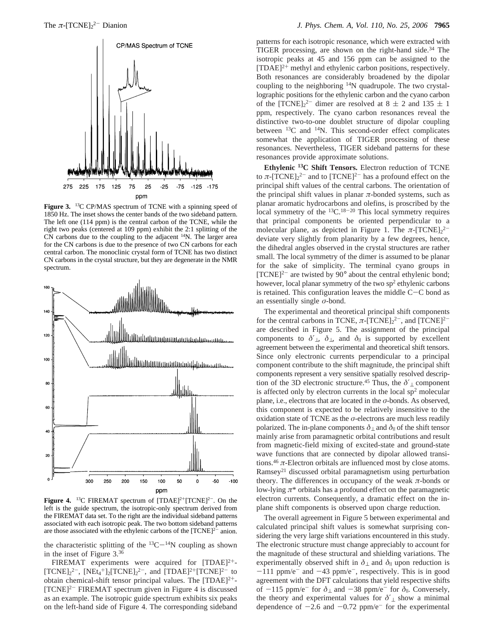

**Figure 3.** 13C CP/MAS spectrum of TCNE with a spinning speed of 1850 Hz. The inset shows the center bands of the two sideband pattern. The left one (114 ppm) is the central carbon of the TCNE, while the right two peaks (centered at 109 ppm) exhibit the 2:1 splitting of the CN carbons due to the coupling to the adjacent 14N. The larger area for the CN carbons is due to the presence of two CN carbons for each central carbon. The monoclinic crystal form of TCNE has two distinct CN carbons in the crystal structure, but they are degenerate in the NMR spectrum.



**Figure 4.** <sup>13</sup>C FIREMAT spectrum of  $[TDAE]^2$ + $[TCNE]^2$ -. On the left is the guide spectrum, the isotropic-only spectrum derived from the FIREMAT data set. To the right are the individual sideband patterns associated with each isotropic peak. The two bottom sideband patterns are those associated with the ethylenic carbons of the  $[TCNE]^{2-}$  anion.

the characteristic splitting of the  ${}^{13}C-{}^{14}N$  coupling as shown in the inset of Figure 3.36

FIREMAT experiments were acquired for [TDAE]<sup>2+</sup>- $[TCNE]_2^{2-}$ ,  $[NEt_4^{+}]_2[TCNE]_2^{2-}$ , and  $[TDAE]_2^{2+}[TCNE]_2^{-}$  to obtain chemical-shift tensor principal values. The [TDAE]<sup>2+</sup>- $[TCNE]^2$ <sup>-</sup> FIREMAT spectrum given in Figure 4 is discussed as an example. The isotropic guide spectrum exhibits six peaks on the left-hand side of Figure 4. The corresponding sideband

patterns for each isotropic resonance, which were extracted with TIGER processing, are shown on the right-hand side.<sup>34</sup> The isotropic peaks at 45 and 156 ppm can be assigned to the  $[TDAE]^{2+}$  methyl and ethylenic carbon positions, respectively. Both resonances are considerably broadened by the dipolar coupling to the neighboring 14N quadrupole. The two crystallographic positions for the ethylenic carbon and the cyano carbon of the  $[TCNE]_2^{2-}$  dimer are resolved at  $8 \pm 2$  and  $135 \pm 1$ <br>npm, respectively. The cyano carbon resonances reveal the ppm, respectively. The cyano carbon resonances reveal the distinctive two-to-one doublet structure of dipolar coupling between 13C and 14N. This second-order effect complicates somewhat the application of TIGER processing of these resonances. Nevertheless, TIGER sideband patterns for these resonances provide approximate solutions.

**Ethylenic 13C Shift Tensors.** Electron reduction of TCNE to  $\pi$ -[TCNE] $_2$ <sup>2-</sup> and to [TCNE]<sup>2-</sup> has a profound effect on the principal shift values of the central carbons. The orientation of the principal shift values in planar  $\pi$ -bonded systems, such as planar aromatic hydrocarbons and olefins, is proscribed by the local symmetry of the <sup>13</sup>C.<sup>18-20</sup> This local symmetry requires that principal components be oriented perpendicular to a molecular plane, as depicted in Figure 1. The  $\pi$ -[TCNE]<sub>2</sub><sup>2-</sup> deviate very slightly from planarity by a few degrees, hence, the dihedral angles observed in the crystal structures are rather small. The local symmetry of the dimer is assumed to be planar for the sake of simplicity. The terminal cyano groups in  $[TCNE]^{2-}$  are twisted by 90 $^{\circ}$  about the central ethylenic bond; however, local planar symmetry of the two sp<sup>2</sup> ethylenic carbons is retained. This configuration leaves the middle C-C bond as an essentially single *σ*-bond.

The experimental and theoretical principal shift components for the central carbons in TCNE,  $\pi$ -[TCNE] $2^{-}$ , and [TCNE]<sup>2-</sup> are described in Figure 5. The assignment of the principal components to  $\delta'$ <sub>⊥</sub>,  $\delta$ <sub>⊥</sub>, and  $\delta$ <sub>||</sub> is supported by excellent agreement between the experimental and theoretical shift tensors. Since only electronic currents perpendicular to a principal component contribute to the shift magnitude, the principal shift components represent a very sensitive spatially resolved description of the 3D electronic structure.<sup>45</sup> Thus, the  $\delta'$ <sub>⊥</sub> component is affected only by electron currents in the local  $sp<sup>2</sup>$  molecular plane, i.e., electrons that are located in the *σ*-bonds. As observed, this component is expected to be relatively insensitive to the oxidation state of TCNE as the *σ*-electrons are much less readily polarized. The in-plane components  $\delta_{\perp}$  and  $\delta_{\parallel}$  of the shift tensor mainly arise from paramagnetic orbital contributions and result from magnetic-field mixing of excited-state and ground-state wave functions that are connected by dipolar allowed transitions.<sup>46</sup>  $\pi$ -Electron orbitals are influenced most by close atoms. Ramsey21 discussed orbital paramagnetism using perturbation theory. The differences in occupancy of the weak  $\pi$ -bonds or low-lying *π*\* orbitals has a profound effect on the paramagnetic electron currents. Consequently, a dramatic effect on the inplane shift components is observed upon charge reduction.

The overall agreement in Figure 5 between experimental and calculated principal shift values is somewhat surprising considering the very large shift variations encountered in this study. The electronic structure must change appreciably to account for the magnitude of these structural and shielding variations. The experimentally observed shift in  $\delta_{\perp}$  and  $\delta_{\parallel}$  upon reduction is  $-111$  ppm/e<sup>-</sup> and  $-43$  ppm/e<sup>-</sup>, respectively. This is in good agreement with the DFT calculations that yield respective shifts of  $-115$  ppm/e<sup>-</sup> for  $\delta_{\perp}$  and  $-38$  ppm/e<sup>-</sup> for  $\delta_{\parallel}$ . Conversely, the theory and experimental values for  $\delta'$ <sub>⊥</sub> show a minimal dependence of  $-2.6$  and  $-0.72$  ppm/e<sup>-</sup> for the experimental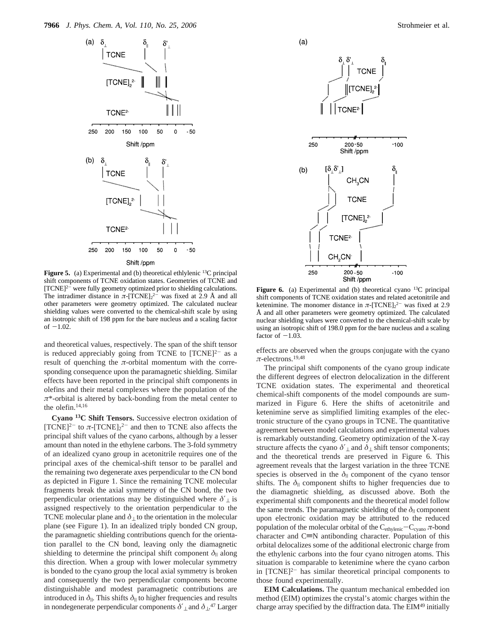

**Figure 5.** (a) Experimental and (b) theoretical ethlylenic <sup>13</sup>C principal shift components of TCNE oxidation states. Geometries of TCNE and [TCNE]<sup>2-</sup> were fully geometry optimized prior to shielding calculations. The intradimer distance in  $\pi$ -[TCNE]<sub>2</sub><sup>2-</sup> was fixed at 2.9 Å and all other parameters were geometry optimized. The calculated nuclear shielding values were converted to the chemical-shift scale by using an isotropic shift of 198 ppm for the bare nucleus and a scaling factor of  $-1.02$ .

and theoretical values, respectively. The span of the shift tensor is reduced appreciably going from TCNE to  $[TCNE]^{2-}$  as a result of quenching the  $\pi$ -orbital momentum with the corresponding consequence upon the paramagnetic shielding. Similar effects have been reported in the principal shift components in olefins and their metal complexes where the population of the *π*\*-orbital is altered by back-bonding from the metal center to the olefin.14,16

**Cyano 13C Shift Tensors.** Successive electron oxidation of [TCNE]<sup>2-</sup> to  $\pi$ -[TCNE]<sub>2</sub><sup>2-</sup> and then to TCNE also affects the principal shift values of the cyano carbons, although by a lesser amount than noted in the ethylene carbons. The 3-fold symmetry of an idealized cyano group in acetonitrile requires one of the principal axes of the chemical-shift tensor to be parallel and the remaining two degenerate axes perpendicular to the CN bond as depicted in Figure 1. Since the remaining TCNE molecular fragments break the axial symmetry of the CN bond, the two perpendicular orientations may be distinguished where  $\delta'$ <sub>⊥</sub> is assigned respectively to the orientation perpendicular to the TCNE molecular plane and  $\delta_{\perp}$  to the orientation in the molecular plane (see Figure 1). In an idealized triply bonded CN group, the paramagnetic shielding contributions quench for the orientation parallel to the CN bond, leaving only the diamagnetic shielding to determine the principal shift component  $\delta_{\parallel}$  along this direction. When a group with lower molecular symmetry is bonded to the cyano group the local axial symmetry is broken and consequently the two perpendicular components become distinguishable and modest paramagnetic contributions are introduced in  $\delta_{\parallel}$ . This shifts  $\delta_{\parallel}$  to higher frequencies and results in nondegenerate perpendicular components *δ*′⊥ and *δ*⊥. <sup>47</sup> Larger





 $(a)$ 

**Figure 6.** (a) Experimental and (b) theoretical cyano <sup>13</sup>C principal shift components of TCNE oxidation states and related acetonitrile and ketenimine. The monomer distance in  $\pi$ -[TCNE] $_2$ <sup>2-</sup> was fixed at 2.9 Å and all other parameters were geometry optimized. The calculated nuclear shielding values were converted to the chemical-shift scale by using an isotropic shift of 198.0 ppm for the bare nucleus and a scaling factor of  $-1.03$ .

effects are observed when the groups conjugate with the cyano *π*-electrons.19,48

The principal shift components of the cyano group indicate the different degrees of electron delocalization in the different TCNE oxidation states. The experimental and theoretical chemical-shift components of the model compounds are summarized in Figure 6. Here the shifts of acetonitrile and ketenimine serve as simplified limiting examples of the electronic structure of the cyano groups in TCNE. The quantitative agreement between model calculations and experimental values is remarkably outstanding. Geometry optimization of the X-ray structure affects the cyano  $\delta'$ <sub>⊥</sub> and  $\delta$ <sub>⊥</sub> shift tensor components; and the theoretical trends are preserved in Figure 6. This agreement reveals that the largest variation in the three TCNE species is observed in the  $\delta_{\parallel}$  component of the cyano tensor shifts. The  $\delta_{\parallel}$  component shifts to higher frequencies due to the diamagnetic shielding, as discussed above. Both the experimental shift components and the theoretical model follow the same trends. The paramagnetic shielding of the  $\delta_{\parallel}$  component upon electronic oxidation may be attributed to the reduced population of the molecular orbital of the C<sub>ethylenic</sub> $-C_{\text{cvano}} \pi$ -bond character and  $C \equiv N$  antibonding character. Population of this orbital delocalizes some of the additional electronic charge from the ethylenic carbons into the four cyano nitrogen atoms. This situation is comparable to ketenimine where the cyano carbon in  $[TCNE]^{2-}$  has similar theoretical principal components to those found experimentally.

**EIM Calculations.** The quantum mechanical embedded ion method (EIM) optimizes the crystal's atomic charges within the charge array specified by the diffraction data. The EIM<sup>49</sup> initially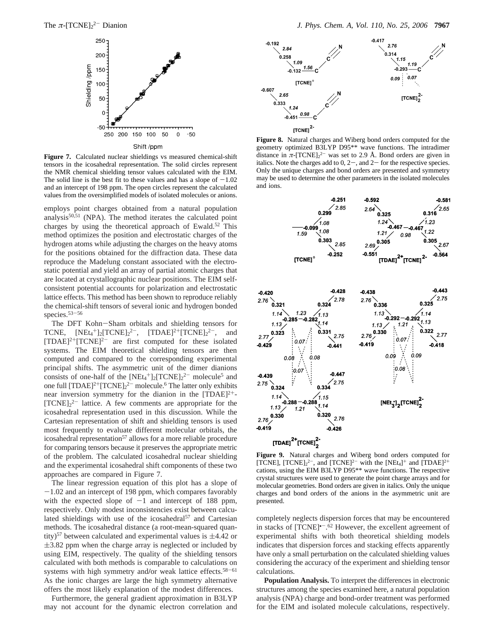

**Figure 7.** Calculated nuclear shieldings vs measured chemical-shift tensors in the icosahedral representation. The solid circles represent the NMR chemical shielding tensor values calculated with the EIM. The solid line is the best fit to these values and has a slope of  $-1.02$ and an intercept of 198 ppm. The open circles represent the calculated values from the oversimplified models of isolated molecules or anions.

employs point charges obtained from a natural population analysis $50,51$  (NPA). The method iterates the calculated point charges by using the theoretical approach of Ewald.<sup>52</sup> This method optimizes the position and electrostatic charges of the hydrogen atoms while adjusting the charges on the heavy atoms for the positions obtained for the diffraction data. These data reproduce the Madelung constant associated with the electrostatic potential and yield an array of partial atomic charges that are located at crystallographic nuclear positions. The EIM selfconsistent potential accounts for polarization and electrostatic lattice effects. This method has been shown to reproduce reliably the chemical-shift tensors of several ionic and hydrogen bonded species.<sup>53-56</sup>

The DFT Kohn-Sham orbitals and shielding tensors for<br>TCNE.  $[NEL^+]\circ [TCNE]_2^2$ .  $[TDAE]_2^2$  [TCNE]<sub>2</sub><sup>2</sup>. and TCNE,  $[NEt_4^+]_2[TCNE]_2^{2-}$ ,  $[TDAE]^2+[TCNE]_2^{2-}$ , and  $[TDAE]^{2+}[TCNE]^{2-}$  are first computed for these isolated systems. The EIM theoretical shielding tensors are then computed and compared to the corresponding experimental principal shifts. The asymmetric unit of the dimer dianions consists of one-half of the  $[NEt_4^+]_2[TCNE]_2^{2-}$  molecule<sup>5</sup> and one full  $[TDAE]^2$ <sup>+</sup> $[TCNE]_2$ <sup>2-</sup> molecule.<sup>6</sup> The latter only exhibits near inversion symmetry for the dianion in the  $[TDAE]^{2+}$ - $[TCNE]_2^2$  lattice. A few comments are appropriate for the icosahedral representation used in this discussion. While the Cartesian representation of shift and shielding tensors is used most frequently to evaluate different molecular orbitals, the icosahedral representation<sup>57</sup> allows for a more reliable procedure for comparing tensors because it preserves the appropriate metric of the problem. The calculated icosahedral nuclear shielding and the experimental icosahedral shift components of these two approaches are compared in Figure 7.

The linear regression equation of this plot has a slope of  $-1.02$  and an intercept of 198 ppm, which compares favorably with the expected slope of  $-1$  and intercept of 188 ppm, respectively. Only modest inconsistencies exist between calculated shieldings with use of the icosahedral<sup>57</sup> and Cartesian methods. The icosahedral distance (a root-mean-squared quantity)<sup>57</sup> between calculated and experimental values is  $\pm$ 4.42 or  $\pm$ 3.82 ppm when the charge array is neglected or included by using EIM, respectively. The quality of the shielding tensors calculated with both methods is comparable to calculations on systems with high symmetry and/or weak lattice effects.<sup>58-61</sup> As the ionic charges are large the high symmetry alternative offers the most likely explanation of the modest differences.

Furthermore, the general gradient approximation in B3LYP may not account for the dynamic electron correlation and



**Figure 8.** Natural charges and Wiberg bond orders computed for the geometry optimized B3LYP D95\*\* wave functions. The intradimer distance in  $\pi$ -[TCNE]<sub>2</sub><sup>2-</sup> was set to 2.9 Å. Bond orders are given in italics. Note the charges add to  $0, 2-$ , and  $2-$  for the respective species. Only the unique charges and bond orders are presented and symmetry may be used to determine the other parameters in the isolated molecules and ions.



**Figure 9.** Natural charges and Wiberg bond orders computed for [TCNE],  $[TCNE]_2^{2-}$ , and  $[TCNE]_2^{2-}$  with the  $[NEt_4]^+$  and  $[TDAE]_2^{2+}$ cations, using the EIM B3LYP D95\*\* wave functions. The respective crystal structures were used to generate the point charge arrays and for molecular geometries. Bond orders are given in italics. Only the unique charges and bond orders of the anions in the asymmetric unit are presented.

completely neglects dispersion forces that may be encountered in stacks of [TCNE]<sup>•--62</sup> However, the excellent agreement of experimental shifts with both theoretical shielding models indicates that dispersion forces and stacking effects apparently have only a small perturbation on the calculated shielding values considering the accuracy of the experiment and shielding tensor calculations.

**Population Analysis.** To interpret the differences in electronic structures among the species examined here, a natural population analysis (NPA) charge and bond-order treatment was performed for the EIM and isolated molecule calculations, respectively.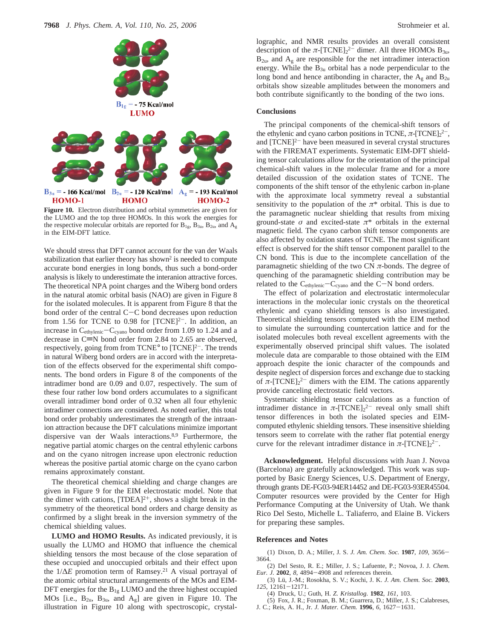

the LUMO and the top three HOMOs. In this work the energies for the respective molecular orbitals are reported for  $B_{1g}$ ,  $B_{3u}$ ,  $B_{2u}$ , and  $A_g$ in the EIM-DFT lattice.

We should stress that DFT cannot account for the van der Waals stabilization that earlier theory has shown<sup>2</sup> is needed to compute accurate bond energies in long bonds, thus such a bond-order analysis is likely to underestimate the interanion attractive forces. The theoretical NPA point charges and the Wiberg bond orders in the natural atomic orbital basis (NAO) are given in Figure 8 for the isolated molecules. It is apparent from Figure 8 that the bond order of the central C-C bond decreases upon reduction from 1.56 for TCNE to 0.98 for  $[TCNE]^{2-}$ . In addition, an increase in  $C_{\text{ethylenic}}-C_{\text{cyano}}$  bond order from 1.09 to 1.24 and a decrease in C $\equiv$ N bond order from 2.84 to 2.65 are observed, respectively, going from from  $TCNE^{\circ}$  to  $[TCNE]^{2-}$ . The trends in natural Wiberg bond orders are in accord with the interpretation of the effects observed for the experimental shift components. The bond orders in Figure 8 of the components of the intradimer bond are 0.09 and 0.07, respectively. The sum of these four rather low bond orders accumulates to a significant overall intradimer bond order of 0.32 when all four ethylenic intradimer connections are considered. As noted earlier, this total bond order probably underestimates the strength of the intraanion attraction because the DFT calculations minimize important dispersive van der Waals interactions.8,9 Furthermore, the negative partial atomic charges on the central ethylenic carbons and on the cyano nitrogen increase upon electronic reduction whereas the positive partial atomic charge on the cyano carbon remains approximately constant.

The theoretical chemical shielding and charge changes are given in Figure 9 for the EIM electrostatic model. Note that the dimer with cations,  $[TDEA]^{2+}$ , shows a slight break in the symmetry of the theoretical bond orders and charge density as confirmed by a slight break in the inversion symmetry of the chemical shielding values.

**LUMO and HOMO Results.** As indicated previously, it is usually the LUMO and HOMO that influence the chemical shielding tensors the most because of the close separation of these occupied and unoccupied orbitals and their effect upon the 1/∆*E* promotion term of Ramsey.21 A visual portrayal of the atomic orbital structural arrangements of the MOs and EIM-DFT energies for the  $B_{1g}$  LUMO and the three highest occupied MOs [i.e.,  $B_{2u}$ ,  $B_{3u}$ , and  $A_g$ ] are given in Figure 10. The illustration in Figure 10 along with spectroscopic, crystallographic, and NMR results provides an overall consistent description of the  $\pi$ -[TCNE]<sub>2</sub><sup>2-</sup> dimer. All three HOMOs B<sub>3u</sub>,  $B_{2u}$ , and  $A_{g}$  are responsible for the net intradimer interaction energy. While the  $B_{3u}$  orbital has a node perpendicular to the long bond and hence antibonding in character, the  $A_g$  and  $B_{2u}$ orbitals show sizeable amplitudes between the monomers and both contribute significantly to the bonding of the two ions.

### **Conclusions**

The principal components of the chemical-shift tensors of the ethylenic and cyano carbon positions in TCNE,  $\pi$ -[TCNE] $_2$ <sup>2-</sup>, and  $[TCNE]^{2-}$  have been measured in several crystal structures with the FIREMAT experiments. Systematic EIM-DFT shielding tensor calculations allow for the orientation of the principal chemical-shift values in the molecular frame and for a more detailed discussion of the oxidation states of TCNE. The components of the shift tensor of the ethylenic carbon in-plane with the approximate local symmetry reveal a substantial sensitivity to the population of the  $\pi^*$  orbital. This is due to the paramagnetic nuclear shielding that results from mixing ground-state *σ* and excited-state *π*\* orbitals in the external magnetic field. The cyano carbon shift tensor components are also affected by oxidation states of TCNE. The most significant effect is observed for the shift tensor component parallel to the CN bond. This is due to the incomplete cancellation of the paramagnetic shielding of the two CN  $\pi$ -bonds. The degree of quenching of the paramagnetic shielding contribution may be related to the C<sub>ethylenic</sub>-C<sub>cyano</sub> and the C-N bond orders.

The effect of polarization and electrostatic intermolecular interactions in the molecular ionic crystals on the theoretical ethylenic and cyano shielding tensors is also investigated. Theoretical shielding tensors computed with the EIM method to simulate the surrounding countercation lattice and for the isolated molecules both reveal excellent agreements with the experimentally observed principal shift values. The isolated molecule data are comparable to those obtained with the EIM approach despite the ionic character of the compounds and despite neglect of dispersion forces and exchange due to stacking of  $\pi$ -[TCNE]<sub>2</sub><sup>2-</sup> dimers with the EIM. The cations apparently provide canceling electrostatic field vectors.

Systematic shielding tensor calculations as a function of intradimer distance in  $\pi$ -[TCNE]<sub>2</sub><sup>2-</sup> reveal only small shift tensor differences in both the isolated species and EIMcomputed ethylenic shielding tensors. These insensitive shielding tensors seem to correlate with the rather flat potential energy curve for the relevant intradimer distance in  $\pi$ -[TCNE]<sub>2</sub><sup>2-</sup>.

**Acknowledgment.** Helpful discussions with Juan J. Novoa (Barcelona) are gratefully acknowledged. This work was supported by Basic Energy Sciences, U.S. Department of Energy, through grants DE-FG03-94ER14452 and DE-FG03-93ER45504. Computer resources were provided by the Center for High Performance Computing at the University of Utah. We thank Rico Del Sesto, Michelle L. Taliaferro, and Elaine B. Vickers for preparing these samples.

#### **References and Notes**

(1) Dixon, D. A.; Miller, J. S. *J. Am. Chem. Soc.* **<sup>1987</sup>**, *<sup>109</sup>*, 3656- 3664.

(2) Del Sesto, R. E.; Miller, J. S.; Lafuente, P.; Novoa, J. J. *Chem. Eur. J.* **<sup>2002</sup>**, *<sup>8</sup>*, 4894-4908 and references therein.

(3) Lu¨, J.-M.; Rosokha, S. V.; Kochi, J. K. *J. Am. Chem. Soc.* **2003**, *<sup>125</sup>*, 12161-12171.

(4) Druck, U.; Guth, H. *Z. Kristallog.* **1982**, *161*, 103.

(5) Fox, J. R.; Foxman, B. M.; Guarrera, D.; Miller, J. S.; Calabreses, J. C.; Reis, A. H., Jr. *J. Mater. Chem.* **<sup>1996</sup>**, *<sup>6</sup>*, 1627-1631.